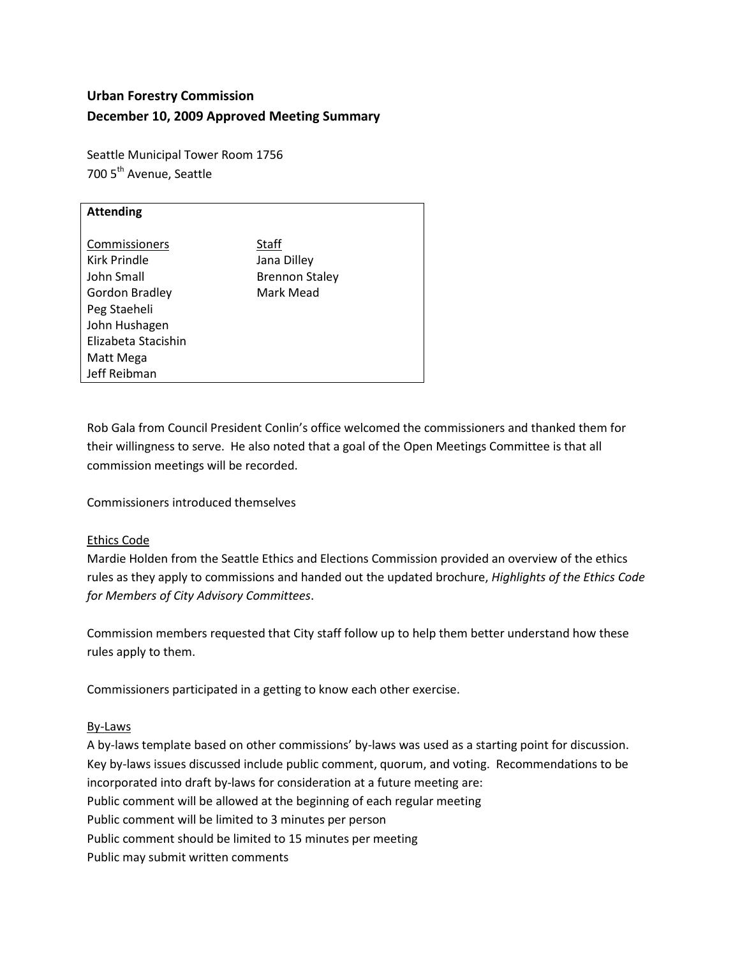# **Urban Forestry Commission December 10, 2009 Approved Meeting Summary**

Seattle Municipal Tower Room 1756 700 5<sup>th</sup> Avenue, Seattle

| <b>Attending</b>      |                       |
|-----------------------|-----------------------|
|                       |                       |
|                       |                       |
| Commissioners         | Staff                 |
| Kirk Prindle          |                       |
|                       | Jana Dilley           |
| John Small            | <b>Brennon Staley</b> |
| <b>Gordon Bradley</b> | Mark Mead             |
|                       |                       |
| Peg Staeheli          |                       |
| John Hushagen         |                       |
|                       |                       |
| Elizabeta Stacishin   |                       |
| Matt Mega             |                       |
|                       |                       |
| Jeff Reibman          |                       |

Rob Gala from Council President Conlin's office welcomed the commissioners and thanked them for their willingness to serve. He also noted that a goal of the Open Meetings Committee is that all commission meetings will be recorded.

Commissioners introduced themselves

# Ethics Code

Mardie Holden from the Seattle Ethics and Elections Commission provided an overview of the ethics rules as they apply to commissions and handed out the updated brochure, *Highlights of the Ethics Code for Members of City Advisory Committees*.

Commission members requested that City staff follow up to help them better understand how these rules apply to them.

Commissioners participated in a getting to know each other exercise.

#### By-Laws

A by-laws template based on other commissions' by-laws was used as a starting point for discussion. Key by-laws issues discussed include public comment, quorum, and voting. Recommendations to be incorporated into draft by-laws for consideration at a future meeting are: Public comment will be allowed at the beginning of each regular meeting Public comment will be limited to 3 minutes per person Public comment should be limited to 15 minutes per meeting Public may submit written comments